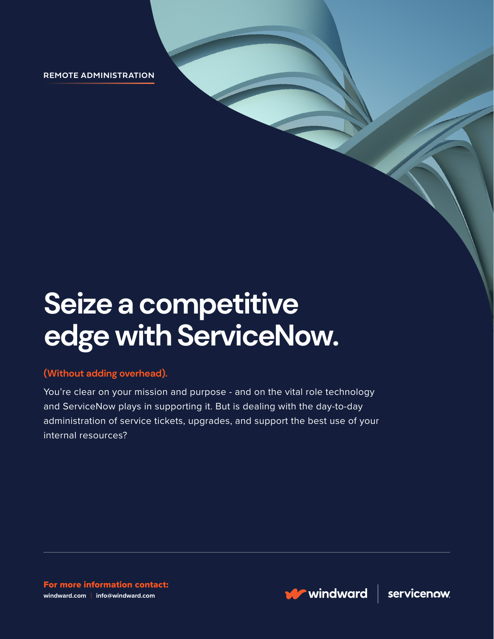**REMOTE ADMINISTRATION**

# **Seize a competitive edge with ServiceNow.**

#### **(Without adding overhead).**

You're clear on your mission and purpose - and on the vital role technology and ServiceNow plays in supporting it. But is dealing with the day-to-day administration of service tickets, upgrades, and support the best use of your internal resources?

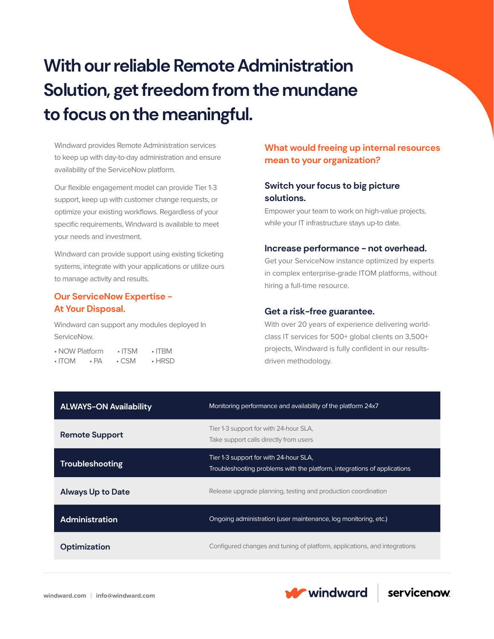## **With our reliable Remote Administration Solution, get freedom from the mundane to focus on the meaningful.**

Windward provides Remote Administration services to keep up with day-to-day administration and ensure availability of the ServiceNow platform.

Our flexible engagement model can provide Tier 1-3 support, keep up with customer change requests, or optimize your existing workflows. Regardless of your specific requirements, Windward is available to meet your needs and investment.

Windward can provide support using existing ticketing systems, integrate with your applications or utilize ours to manage activity and results.

#### **Our ServiceNow Expertise - At Your Disposal.**

Windward can support any modules deployed In ServiceNow.

|              | • NOW Platform | $\cdot$ ITSM | $\cdot$ ITRM |
|--------------|----------------|--------------|--------------|
| $\cdot$ ITOM | $\cdot$ PA     | $\cdot$ CSM  | $\cdot$ HRSD |

#### **What would freeing up internal resources mean to your organization?**

#### **Switch your focus to big picture solutions.**

Empower your team to work on high-value projects, while your IT infrastructure stays up-to date.

#### **Increase performance - not overhead.**

Get your ServiceNow instance optimized by experts in complex enterprise-grade ITOM platforms, without hiring a full-time resource.

#### **Get a risk-free guarantee.**

With over 20 years of experience delivering worldclass IT services for 500+ global clients on 3,500+ projects, Windward is fully confident in our resultsdriven methodology.

| <b>ALWAYS-ON Availability</b> | Monitoring performance and availability of the platform 24x7                                                       |  |
|-------------------------------|--------------------------------------------------------------------------------------------------------------------|--|
| <b>Remote Support</b>         | Tier 1-3 support for with 24-hour SLA,<br>Take support calls directly from users                                   |  |
| Troubleshooting               | Tier 1-3 support for with 24-hour SLA,<br>Troubleshooting problems with the platform, integrations of applications |  |
| <b>Always Up to Date</b>      | Release upgrade planning, testing and production coordination                                                      |  |
| Administration                | Ongoing administration (user maintenance, log monitoring, etc.)                                                    |  |
| Optimization                  | Configured changes and tuning of platform, applications, and integrations                                          |  |

**W** windward

servicenow